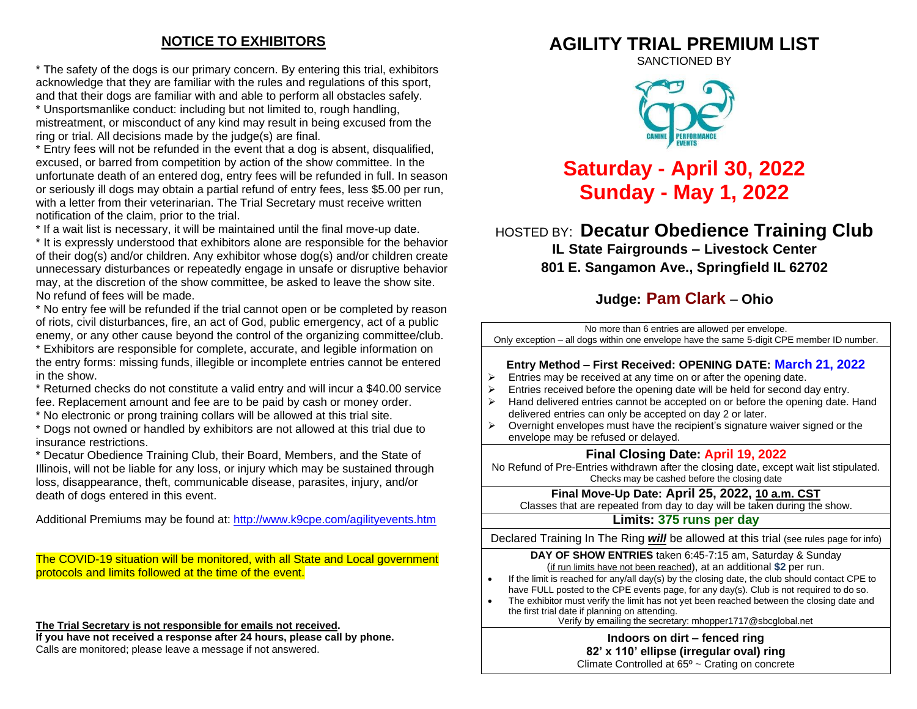# **NOTICE TO EXHIBITORS**

\* The safety of the dogs is our primary concern. By entering this trial, exhibitors acknowledge that they are familiar with the rules and regulations of this sport, and that their dogs are familiar with and able to perform all obstacles safely. \* Unsportsmanlike conduct: including but not limited to, rough handling, mistreatment, or misconduct of any kind may result in being excused from the ring or trial. All decisions made by the judge(s) are final.

\* Entry fees will not be refunded in the event that a dog is absent, disqualified, excused, or barred from competition by action of the show committee. In the unfortunate death of an entered dog, entry fees will be refunded in full. In season or seriously ill dogs may obtain a partial refund of entry fees, less \$5.00 per run, with a letter from their veterinarian. The Trial Secretary must receive written notification of the claim, prior to the trial.

\* If a wait list is necessary, it will be maintained until the final move-up date.

\* It is expressly understood that exhibitors alone are responsible for the behavior of their dog(s) and/or children. Any exhibitor whose dog(s) and/or children create unnecessary disturbances or repeatedly engage in unsafe or disruptive behavior may, at the discretion of the show committee, be asked to leave the show site. No refund of fees will be made.

\* No entry fee will be refunded if the trial cannot open or be completed by reason of riots, civil disturbances, fire, an act of God, public emergency, act of a public enemy, or any other cause beyond the control of the organizing committee/club. \* Exhibitors are responsible for complete, accurate, and legible information on the entry forms: missing funds, illegible or incomplete entries cannot be entered in the show.

\* Returned checks do not constitute a valid entry and will incur a \$40.00 service fee. Replacement amount and fee are to be paid by cash or money order.

\* No electronic or prong training collars will be allowed at this trial site.

\* Dogs not owned or handled by exhibitors are not allowed at this trial due to insurance restrictions.

\* Decatur Obedience Training Club, their Board, Members, and the State of Illinois, will not be liable for any loss, or injury which may be sustained through loss, disappearance, theft, communicable disease, parasites, injury, and/or death of dogs entered in this event.

Additional Premiums may be found at: <http://www.k9cpe.com/agilityevents.htm>

The COVID-19 situation will be monitored, with all State and Local government protocols and limits followed at the time of the event.

**The Trial Secretary is not responsible for emails not received.**

**If you have not received a response after 24 hours, please call by phone.** Calls are monitored; please leave a message if not answered.

# **AGILITY TRIAL PREMIUM LIST**

SANCTIONED BY



# **Saturday - April 30, 2022 Sunday - May 1, 2022**

HOSTED BY: **Decatur Obedience Training Club**

**IL State Fairgrounds – Livestock Center**

**801 E. Sangamon Ave., Springfield IL 62702**

# **Judge: Pam Clark** – **Ohio**

No more than 6 entries are allowed per envelope. Only exception – all dogs within one envelope have the same 5-digit CPE member ID number. **Entry Method – First Received: OPENING DATE: March 21, 2022**  $\triangleright$  Entries may be received at any time on or after the opening date.  $\triangleright$  Entries received before the opening date will be held for second day entry.  $\geq$  Hand delivered entries cannot be accepted on or before the opening date. Hand delivered entries can only be accepted on day 2 or later.  $\triangleright$  Overnight envelopes must have the recipient's signature waiver signed or the envelope may be refused or delayed. **Final Closing Date: April 19, 2022** No Refund of Pre-Entries withdrawn after the closing date, except wait list stipulated. Checks may be cashed before the closing date

**Final Move-Up Date: April 25, 2022, 10 a.m. CST**

Classes that are repeated from day to day will be taken during the show.

#### **Limits: 375 runs per day**

Declared Training In The Ring *will* be allowed at this trial (see rules page for info)

**DAY OF SHOW ENTRIES** taken 6:45-7:15 am, Saturday & Sunday (if run limits have not been reached), at an additional **\$2** per run.

- If the limit is reached for any/all day(s) by the closing date, the club should contact CPE to have FULL posted to the CPE events page, for any day(s). Club is not required to do so.
- The exhibitor must verify the limit has not yet been reached between the closing date and the first trial date if planning on attending.

Verify by emailing the secretary: [mhopper1717@sbcglobal.net](mailto:mhopper1717@sbcglobal.net)

**Indoors on dirt – fenced ring 82' x 110' ellipse (irregular oval) ring**

Climate Controlled at 65º ~ Crating on concrete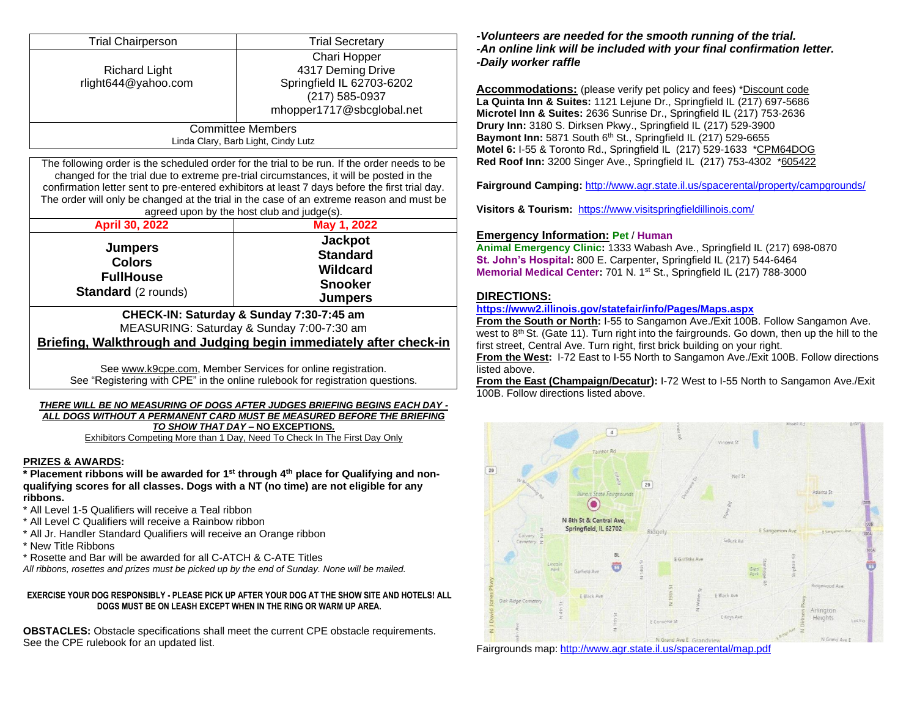| <b>Trial Chairperson</b>            | <b>Trial Secretary</b>    |  |  |  |  |  |
|-------------------------------------|---------------------------|--|--|--|--|--|
|                                     | Chari Hopper              |  |  |  |  |  |
| <b>Richard Light</b>                | 4317 Deming Drive         |  |  |  |  |  |
| rlight644@yahoo.com                 | Springfield IL 62703-6202 |  |  |  |  |  |
|                                     | (217) 585-0937            |  |  |  |  |  |
|                                     | mhopper1717@sbcglobal.net |  |  |  |  |  |
| <b>Committee Members</b><br>_ _ _ _ |                           |  |  |  |  |  |

Linda Clary, Barb Light, Cindy Lutz

The following order is the scheduled order for the trial to be run. If the order needs to be changed for the trial due to extreme pre-trial circumstances, it will be posted in the confirmation letter sent to pre-entered exhibitors at least 7 days before the first trial day. The order will only be changed at the trial in the case of an extreme reason and must be agreed upon by the host club and judge(s).

| <b>April 30, 2022</b> | May 1, 2022                                   |  |  |  |  |  |
|-----------------------|-----------------------------------------------|--|--|--|--|--|
| <b>Jumpers</b>        | <b>Jackpot</b>                                |  |  |  |  |  |
| <b>Colors</b>         | <b>Standard</b><br>Wildcard<br><b>Snooker</b> |  |  |  |  |  |
| <b>FullHouse</b>      |                                               |  |  |  |  |  |
|                       |                                               |  |  |  |  |  |

#### **CHECK-IN: Saturday & Sunday 7:30-7:45 am** MEASURING: Saturday & Sunday 7:00-7:30 am **Briefing, Walkthrough and Judging begin immediately after check-in**

See [www.k9cpe.com,](http://www.k9cpe.com/) Member Services for online registration. See "Registering with CPE" in the online rulebook for registration questions.

#### *THERE WILL BE NO MEASURING OF DOGS AFTER JUDGES BRIEFING BEGINS EACH DAY - ALL DOGS WITHOUT A PERMANENT CARD MUST BE MEASURED BEFORE THE BRIEFING TO SHOW THAT DAY –* **NO EXCEPTIONS***.*

Exhibitors Competing More than 1 Day, Need To Check In The First Day Only

#### **PRIZES & AWARDS:**

**\* Placement ribbons will be awarded for 1st through 4th place for Qualifying and nonqualifying scores for all classes. Dogs with a NT (no time) are not eligible for any ribbons.**

- \* All Level 1-5 Qualifiers will receive a Teal ribbon
- \* All Level C Qualifiers will receive a Rainbow ribbon
- \* All Jr. Handler Standard Qualifiers will receive an Orange ribbon
- \* New Title Ribbons
- \* Rosette and Bar will be awarded for all C-ATCH & C-ATE Titles

*All ribbons, rosettes and prizes must be picked up by the end of Sunday. None will be mailed.*

#### **EXERCISE YOUR DOG RESPONSIBLY - PLEASE PICK UP AFTER YOUR DOG AT THE SHOW SITE AND HOTELS! ALL DOGS MUST BE ON LEASH EXCEPT WHEN IN THE RING OR WARM UP AREA.**

**OBSTACLES:** Obstacle specifications shall meet the current CPE obstacle requirements. See the CPE rulebook for an updated list.

#### *-Volunteers are needed for the smooth running of the trial. -An online link will be included with your final confirmation letter. -Daily worker raffle*

**Accommodations:** (please verify pet policy and fees) \*Discount code **La Quinta Inn & Suites:** 1121 Lejune Dr., Springfield IL (217) 697-5686 **Microtel Inn & Suites:** 2636 Sunrise Dr., Springfield IL (217) 753-2636 **Drury Inn:** 3180 S. Dirksen Pkwy., Springfield IL (217) 529-3900 **Baymont Inn:** 5871 South 6 th St., Springfield IL (217) 529-6655 **Motel 6:** I-55 & Toronto Rd., Springfield IL (217) 529-1633 \*CPM64DOG **Red Roof Inn:** 3200 Singer Ave., Springfield IL (217) 753-4302 \*605422

**Fairground Camping:** <http://www.agr.state.il.us/spacerental/property/campgrounds/>

**Visitors & Tourism:** <https://www.visitspringfieldillinois.com/>

#### **Emergency Information: Pet** / **Human**

**Animal Emergency Clinic:** 1333 Wabash Ave., Springfield IL (217) 698-0870 **St. John's Hospital:** 800 E. Carpenter, Springfield IL (217) 544-6464 **Memorial Medical Center:** 701 N. 1 st St., Springfield IL (217) 788-3000

#### **DIRECTIONS:**

#### **<https://www2.illinois.gov/statefair/info/Pages/Maps.aspx>**

**From the South or North:** I-55 to Sangamon Ave./Exit 100B. Follow Sangamon Ave. west to  $8<sup>th</sup>$  St. (Gate 11). Turn right into the fairgrounds. Go down, then up the hill to the first street, Central Ave. Turn right, first brick building on your right.

**From the West:** I-72 East to I-55 North to Sangamon Ave./Exit 100B. Follow directions listed above.

**From the East (Champaign/Decatur):** I-72 West to I-55 North to Sangamon Ave./Exit 100B. Follow directions listed above.



Fairgrounds map: <http://www.agr.state.il.us/spacerental/map.pdf>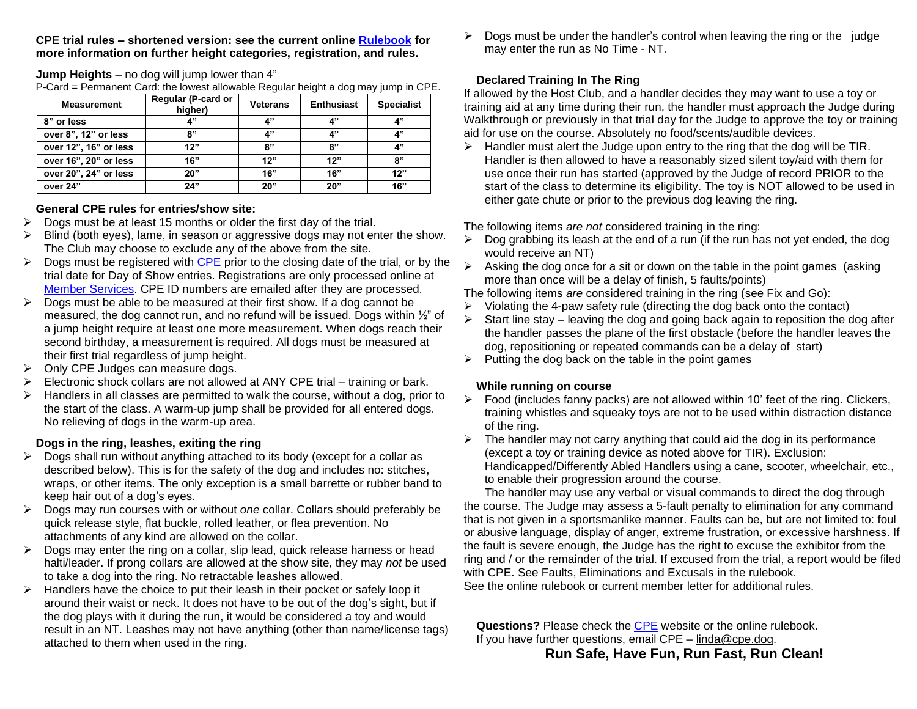#### **CPE trial rules – shortened version: see the current online [Rulebook](http://www.k9cpe.com/rcall2007.htm) for more information on further height categories, registration, and rules.**

#### **Jump Heights** – no dog will jump lower than 4"

P-Card = Permanent Card: the lowest allowable Regular height a dog may jump in CPE.

| <b>Measurement</b>    | Regular (P-card or<br>higher) | <b>Veterans</b> | <b>Enthusiast</b> | <b>Specialist</b> |
|-----------------------|-------------------------------|-----------------|-------------------|-------------------|
| 8" or less            | 4"                            | 4"              | 4"                | 4"                |
| over 8", 12" or less  | 8"                            | 4"              | 4"                | 4"                |
| over 12", 16" or less | 12"                           | 8"              | 8"                | 4"                |
| over 16", 20" or less | 16"                           | 12"             | 12"               | 8"                |
| over 20", 24" or less | 20"                           | 16"             | 16"               | 12"               |
| over 24"              | 24"                           | 20"             | 20"               | 16"               |

#### **General CPE rules for entries/show site:**

- $\triangleright$  Dogs must be at least 15 months or older the first day of the trial.
- ➢ Blind (both eyes), lame, in season or aggressive dogs may not enter the show. The Club may choose to exclude any of the above from the site.
- $\triangleright$  Dogs must be registered with [CPE](http://www.k9cpe.com/index.htm) prior to the closing date of the trial, or by the trial date for Day of Show entries. Registrations are only processed online at [Member Services.](https://www.k9cpe.com/memberservices) CPE ID numbers are emailed after they are processed.
- $\triangleright$  Dogs must be able to be measured at their first show. If a dog cannot be measured, the dog cannot run, and no refund will be issued. Dogs within ½" of a jump height require at least one more measurement. When dogs reach their second birthday, a measurement is required. All dogs must be measured at their first trial regardless of jump height.
- ➢ Only CPE Judges can measure dogs.
- $\triangleright$  Electronic shock collars are not allowed at ANY CPE trial training or bark.
- $\triangleright$  Handlers in all classes are permitted to walk the course, without a dog, prior to the start of the class. A warm-up jump shall be provided for all entered dogs. No relieving of dogs in the warm-up area.

## **Dogs in the ring, leashes, exiting the ring**

- ➢ Dogs shall run without anything attached to its body (except for a collar as described below). This is for the safety of the dog and includes no: stitches, wraps, or other items. The only exception is a small barrette or rubber band to keep hair out of a dog's eyes.
- ➢ Dogs may run courses with or without *one* collar. Collars should preferably be quick release style, flat buckle, rolled leather, or flea prevention. No attachments of any kind are allowed on the collar.
- $\triangleright$  Dogs may enter the ring on a collar, slip lead, quick release harness or head halti/leader. If prong collars are allowed at the show site, they may *not* be used to take a dog into the ring. No retractable leashes allowed.
- ➢ Handlers have the choice to put their leash in their pocket or safely loop it around their waist or neck. It does not have to be out of the dog's sight, but if the dog plays with it during the run, it would be considered a toy and would result in an NT. Leashes may not have anything (other than name/license tags) attached to them when used in the ring.

➢ Dogs must be under the handler's control when leaving the ring or the judge may enter the run as No Time - NT.

## **Declared Training In The Ring**

If allowed by the Host Club, and a handler decides they may want to use a toy or training aid at any time during their run, the handler must approach the Judge during Walkthrough or previously in that trial day for the Judge to approve the toy or training aid for use on the course. Absolutely no food/scents/audible devices.

 $\triangleright$  Handler must alert the Judge upon entry to the ring that the dog will be TIR. Handler is then allowed to have a reasonably sized silent toy/aid with them for use once their run has started (approved by the Judge of record PRIOR to the start of the class to determine its eligibility. The toy is NOT allowed to be used in either gate chute or prior to the previous dog leaving the ring.

The following items *are not* considered training in the ring:

- $\triangleright$  Dog grabbing its leash at the end of a run (if the run has not yet ended, the dog would receive an NT)
- $\triangleright$  Asking the dog once for a sit or down on the table in the point games (asking more than once will be a delay of finish, 5 faults/points)
- The following items *are* considered training in the ring (see Fix and Go):
- $\triangleright$  Violating the 4-paw safety rule (directing the dog back onto the contact)
- $\triangleright$  Start line stay leaving the dog and going back again to reposition the dog after the handler passes the plane of the first obstacle (before the handler leaves the dog, repositioning or repeated commands can be a delay of start)
- $\triangleright$  Putting the dog back on the table in the point games

## **While running on course**

- $\triangleright$  Food (includes fanny packs) are not allowed within 10' feet of the ring. Clickers, training whistles and squeaky toys are not to be used within distraction distance of the ring.
- $\triangleright$  The handler may not carry anything that could aid the dog in its performance (except a toy or training device as noted above for TIR). Exclusion: Handicapped/Differently Abled Handlers using a cane, scooter, wheelchair, etc., to enable their progression around the course.

The handler may use any verbal or visual commands to direct the dog through the course. The Judge may assess a 5-fault penalty to elimination for any command that is not given in a sportsmanlike manner. Faults can be, but are not limited to: foul or abusive language, display of anger, extreme frustration, or excessive harshness. If the fault is severe enough, the Judge has the right to excuse the exhibitor from the ring and / or the remainder of the trial. If excused from the trial, a report would be filed with CPE. See Faults, Eliminations and Excusals in the rulebook.

See the online rulebook or current member letter for additional rules.

**Questions?** Please check the [CPE](http://www.k9cpe.com/index.htm) website or the online rulebook. If you have further questions, email CPE – [linda@cpe.dog.](mailto:linda@cpe.dog)

# **Run Safe, Have Fun, Run Fast, Run Clean!**